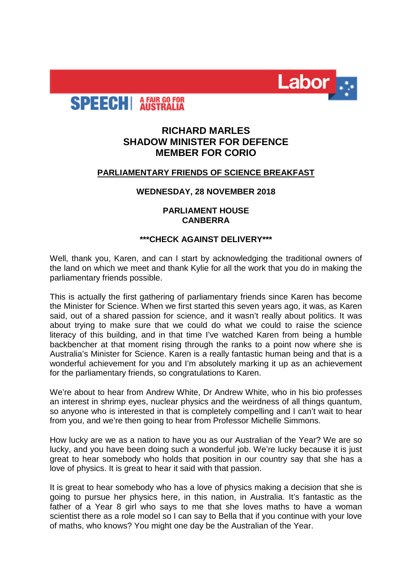



# **RICHARD MARLES SHADOW MINISTER FOR DEFENCE MEMBER FOR CORIO**

## **PARLIAMENTARY FRIENDS OF SCIENCE BREAKFAST**

### **WEDNESDAY, 28 NOVEMBER 2018**

### **PARLIAMENT HOUSE CANBERRA**

### **\*\*\*CHECK AGAINST DELIVERY\*\*\***

Well, thank you, Karen, and can I start by acknowledging the traditional owners of the land on which we meet and thank Kylie for all the work that you do in making the parliamentary friends possible.

This is actually the first gathering of parliamentary friends since Karen has become the Minister for Science. When we first started this seven years ago, it was, as Karen said, out of a shared passion for science, and it wasn't really about politics. It was about trying to make sure that we could do what we could to raise the science literacy of this building, and in that time I've watched Karen from being a humble backbencher at that moment rising through the ranks to a point now where she is Australia's Minister for Science. Karen is a really fantastic human being and that is a wonderful achievement for you and I'm absolutely marking it up as an achievement for the parliamentary friends, so congratulations to Karen.

We're about to hear from Andrew White, Dr Andrew White, who in his bio professes an interest in shrimp eyes, nuclear physics and the weirdness of all things quantum, so anyone who is interested in that is completely compelling and I can't wait to hear from you, and we're then going to hear from Professor Michelle Simmons.

How lucky are we as a nation to have you as our Australian of the Year? We are so lucky, and you have been doing such a wonderful job. We're lucky because it is just great to hear somebody who holds that position in our country say that she has a love of physics. It is great to hear it said with that passion.

It is great to hear somebody who has a love of physics making a decision that she is going to pursue her physics here, in this nation, in Australia. It's fantastic as the father of a Year 8 girl who says to me that she loves maths to have a woman scientist there as a role model so I can say to Bella that if you continue with your love of maths, who knows? You might one day be the Australian of the Year.